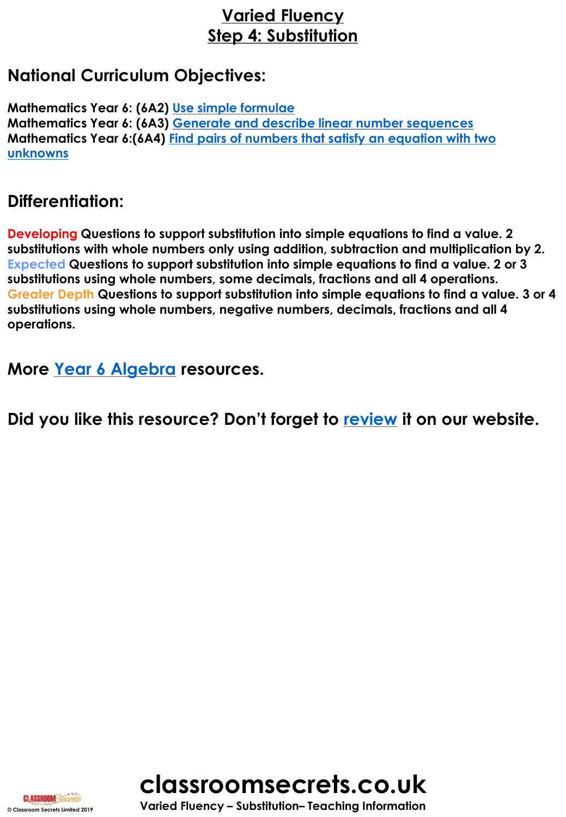# **Varied Fluency Step 4: Substitution**

## **National Curriculum Objectives:**

**Mathematics Year 6: (6A2) [Use simple formulae](https://classroomsecrets.co.uk/content-domain-filter/?fwp_contentdomain=6a2) Mathematics Year 6: (6A3) [Generate and describe linear number sequences](https://classroomsecrets.co.uk/content-domain-filter/?fwp_contentdomain=6a3) Mathematics Year 6:(6A4) [Find pairs of numbers that satisfy an equation with two](https://classroomsecrets.co.uk/content-domain-filter/?fwp_contentdomain=6a4)  unknowns**

# **Differentiation:**

**Developing Questions to support substitution into simple equations to find a value. 2 substitutions with whole numbers only using addition, subtraction and multiplication by 2. Expected Questions to support substitution into simple equations to find a value. 2 or 3 substitutions using whole numbers, some decimals, fractions and all 4 operations. Greater Depth Questions to support substitution into simple equations to find a value. 3 or 4 substitutions using whole numbers, negative numbers, decimals, fractions and all 4 operations.**

**More [Year 6 Algebra](https://classroomsecrets.co.uk/category/maths/year-6/spring-block-3-algebra/) resources.**

**Did you like this resource? Don't forget to [review](https://classroomsecrets.co.uk/substitution-year-6-algebra-resource-pack) it on our website.**





**© Classroom Secrets Limited 2019 Varied Fluency – Substitution– Teaching Information**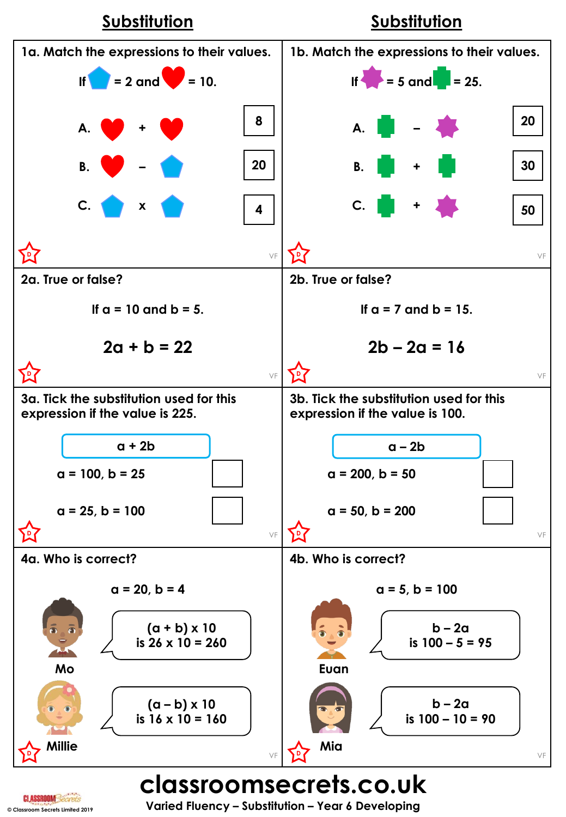

**© Classroom Secrets Limited 2019 Varied Fluency – Substitution – Year 6 Developing**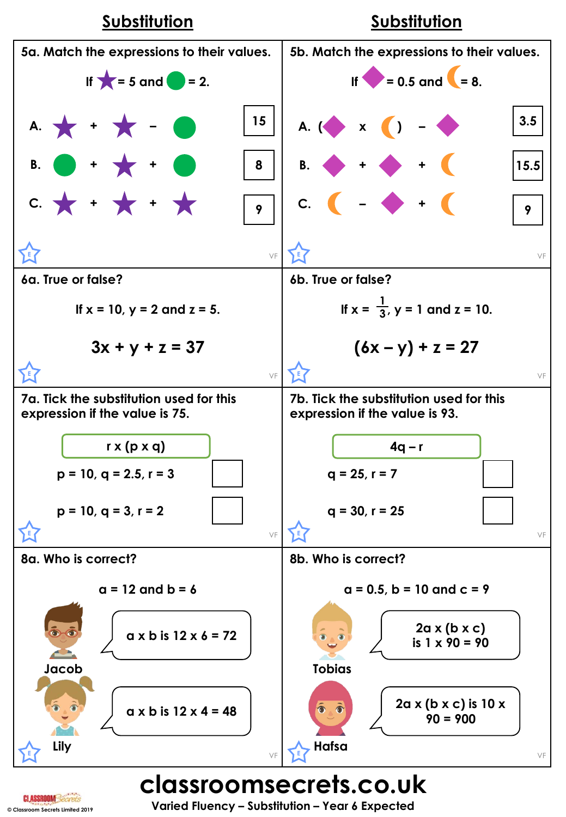

**© Classroom Secrets Limited 2019 Varied Fluency – Substitution – Year 6 Expected**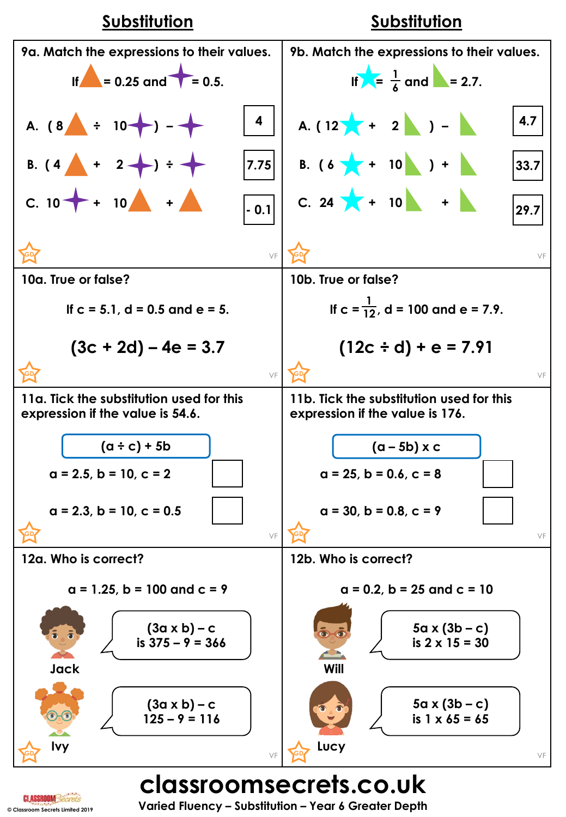

**classroomsecrets.co.uk**

**© Classroom Secrets Limited 2019 Varied Fluency – Substitution – Year 6 Greater Depth**